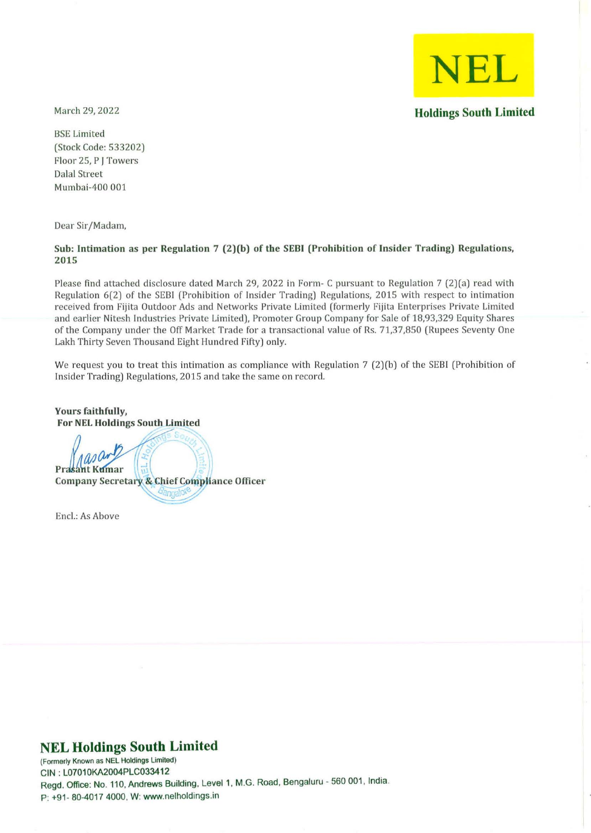**NEL Holdings South Limited** 

March 29, 2022

BSE Limited (Stock Code: 533202) Floor 25, P J Towers Dalal Street Mumbai-400 001

Dear Sir/Madam,

#### Sub: Intimation as per Regulation 7 (2)(b) of the SEBI (Prohihition of Insider Trading) Regulations, 2015

Please find attached disclosure dated March 29, 2022 in Form- C pursuant to Regulation 7 (2)(a) read with Regulation 6(2) of the SEBI (Prohibition of Insider Trading) Regulations, 2015 with respect to intimation received from Fijita Outdoor Ads and Networks Private Limited (formerly Fijita Enterprises Private Limited and earlier Nitesh Industries Private Limited), Promoter Group Company for Sale of 18,93,329 Equity Shares of the Company under the Off Market Trade for a transactional value of Rs. 71,37,850 (Rupees Seventy One Lakh Thirty Seven Thousand Eight Hundred Fifty) only.

We request you to treat this intimation as compliance with Regulation 7 (2)(b) of the SEBI (Prohibition of Insider Trading) Regulations, 2015 and take the same on record.

**Hance Officer** 

Yours faithfully, For NEL Holdings South Limited asan ant Kumar

Encl.: As Above

# **NEL Holdings South Limited**

**(Formerly Known as NEL Holdings Lim1led)**  CIN : L07010KA2004PLC033412 Regd. Office: No. 110, Andrews Building, Level 1, M.G. Road, Bengaluru - 560 001, India. P: +91- 80-4017 4000, W: www.nelholdings.in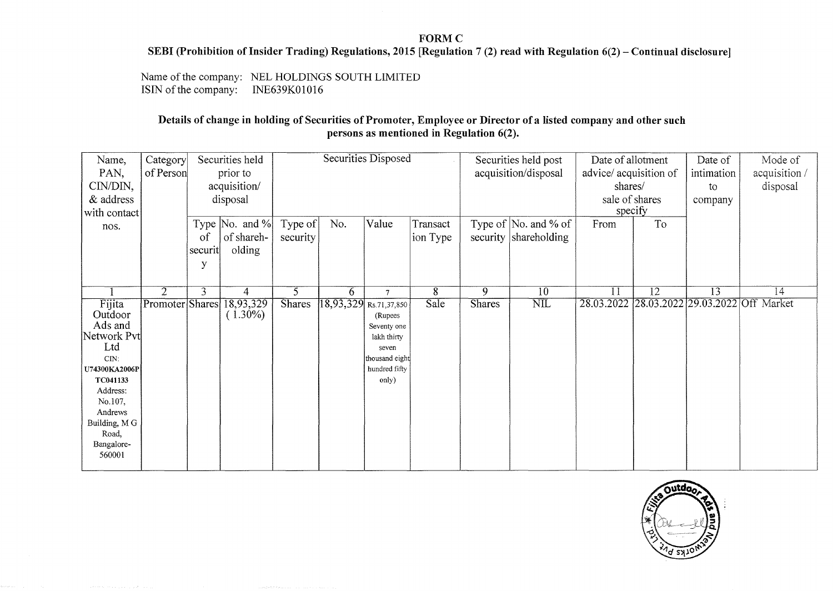### FORM C

#### SEBI (Prohibition of Insider Trading) Regulations, 2015 [Regulation 7 (2) read with Regulation  $6(2)$  – Continual disclosure]

Name of the company: NEL HOLDINGS SOUTH LIMITED<br>ISIN of the company: INE639K01016 ISIN of the company:

## Details of change in holding of Securities of Promoter, Employee or Director of a listed company and other such persons as mentioned in Regulation 6(2).

| Name,         | Category        | Securities held |                                | Securities Disposed |     |                         |                | Securities held post |                         | Date of allotment      |                 | Date of         | Mode of                                     |
|---------------|-----------------|-----------------|--------------------------------|---------------------|-----|-------------------------|----------------|----------------------|-------------------------|------------------------|-----------------|-----------------|---------------------------------------------|
| PAN,          | of Person       | prior to        |                                |                     |     |                         |                | acquisition/disposal |                         | advice/ acquisition of |                 | intimation      | acquisition/                                |
| CIN/DIN,      |                 | acquisition/    |                                |                     |     |                         |                |                      | shares/                 |                        | to              | disposal        |                                             |
| & address     |                 | disposal        |                                |                     |     |                         |                |                      | sale of shares          |                        | company         |                 |                                             |
| with contact  |                 |                 |                                |                     |     |                         |                |                      |                         | specify                |                 |                 |                                             |
| nos.          |                 |                 | Type $\vert$ No. and % $\vert$ | Type of             | No. | Value                   | Transact       |                      | Type of $ No.$ and % of | From                   | To              |                 |                                             |
|               |                 | of              | of shareh-                     | security            |     |                         | ion Type       |                      | security shareholding   |                        |                 |                 |                                             |
|               |                 | securit         | olding                         |                     |     |                         |                |                      |                         |                        |                 |                 |                                             |
|               |                 | y               |                                |                     |     |                         |                |                      |                         |                        |                 |                 |                                             |
|               |                 |                 |                                |                     |     |                         |                |                      |                         |                        |                 |                 |                                             |
|               | $\overline{2}$  | 3               | 4                              | $\overline{5}$      | 6   | $\overline{7}$          | $\overline{8}$ | $\overline{9}$       | 10                      | $\overline{11}$        | $\overline{12}$ | $\overline{13}$ | $\overline{14}$                             |
| Fijita        | Promoter Shares |                 | 18,93,329                      | <b>Shares</b>       |     | 18,93,329 Rs.71,37,850  | Sale           | <b>Shares</b>        | $\overline{\text{NIL}}$ |                        |                 |                 | 28.03.2022 28.03.2022 29.03.2022 Off Market |
| Outdoor       |                 |                 | $(1.30\%)$                     |                     |     | (Rupees)                |                |                      |                         |                        |                 |                 |                                             |
| Ads and       |                 |                 |                                |                     |     | Seventy one             |                |                      |                         |                        |                 |                 |                                             |
| Network Pvt   |                 |                 |                                |                     |     | lakh thirty             |                |                      |                         |                        |                 |                 |                                             |
| Ltd<br>CIN:   |                 |                 |                                |                     |     | seven<br>thousand eight |                |                      |                         |                        |                 |                 |                                             |
| U74300KA2006P |                 |                 |                                |                     |     | hundred fifty           |                |                      |                         |                        |                 |                 |                                             |
| TC041133      |                 |                 |                                |                     |     | only)                   |                |                      |                         |                        |                 |                 |                                             |
| Address:      |                 |                 |                                |                     |     |                         |                |                      |                         |                        |                 |                 |                                             |
| No.107,       |                 |                 |                                |                     |     |                         |                |                      |                         |                        |                 |                 |                                             |
| Andrews       |                 |                 |                                |                     |     |                         |                |                      |                         |                        |                 |                 |                                             |
| Building, M G |                 |                 |                                |                     |     |                         |                |                      |                         |                        |                 |                 |                                             |
| Road,         |                 |                 |                                |                     |     |                         |                |                      |                         |                        |                 |                 |                                             |
| Bangalore-    |                 |                 |                                |                     |     |                         |                |                      |                         |                        |                 |                 |                                             |
| 560001        |                 |                 |                                |                     |     |                         |                |                      |                         |                        |                 |                 |                                             |
|               |                 |                 |                                |                     |     |                         |                |                      |                         |                        |                 |                 |                                             |